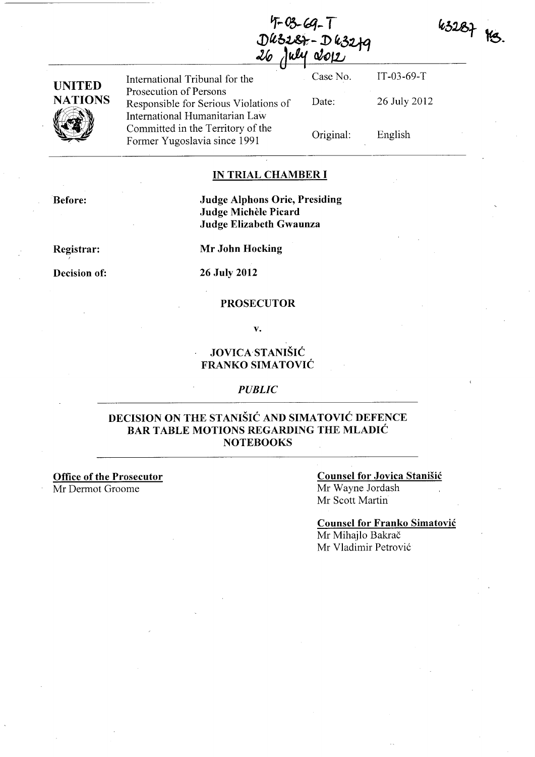$9 - 03 - 69 - 1$  $D$ kzz $\&$ -Dkzz $+$ July 2012



| UNITED         |  |
|----------------|--|
| <b>NATIONS</b> |  |
|                |  |

International Tribunal for the Prosecution of Persons Responsible for Serious Violations of International Humanitarian Law Committed in the Territory of the Former Yugoslavia since 1991

Case No. IT-03-69-T Date: 26 July 2012 Original: English

### IN TRIAL CHAMBER I

Before:

## Judge Alphons Orie, Presiding Judge Michèle Picard Judge Elizabeth Gwaunza

Registrar:

I

Decision of:

Mr John Hocking

### 26 July 2012

### PROSECUTOR

v.

## JOVICASTANISIC FRANKO SIMATOVIC

### *PUBLIC*

## DECISION ON THE STANISIC AND SIMATOVIC DEFENCE BAR TABLE MOTIONS REGARDING THE MLADIC **NOTEBOOKS**

Office of the Prosecutor Mr Derrnot Groome

### Counsel for Jovica Stanisic Mr Wayne Jordash Mr Scott Martin

Counsel for Franko Simatovic Mr Mihajlo Bakrač Mr Vladimir Petrović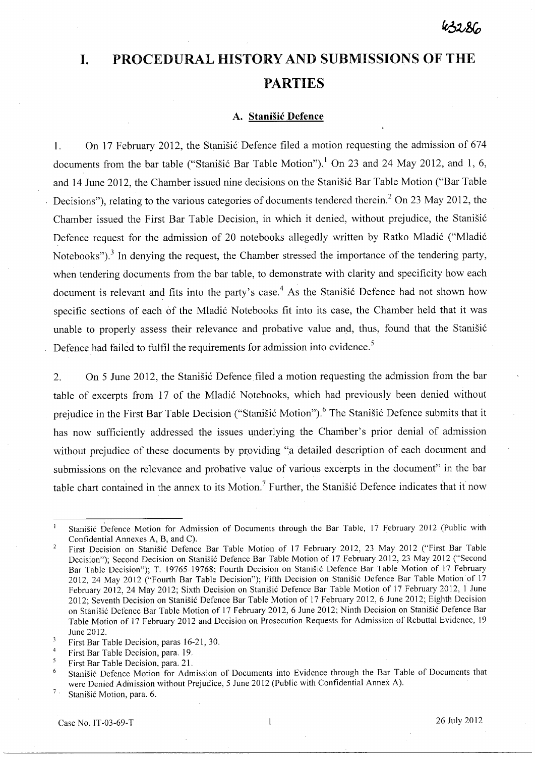# **I. PROCEDURAL HISTORY AND SUBMISSIONS OF THE PARTIES**

### **A. Stanisic Defence**

1. On 17 February 2012, the Stanisic Defence filed a motion requesting the admission of 674 documents from the bar table ("Stanišić Bar Table Motion").<sup>1</sup> On 23 and 24 May 2012, and 1, 6, and 14 June 2012, the Chamber issued nine decisions on the Stanišić Bar Table Motion ("Bar Table Decisions"), relating to the various categories of documents tendered therein.<sup>2</sup> On 23 May 2012, the Chamber issued the First Bar Table Decision, in which it denied, without prejudice, the Stanišić Defence request for the admission of 20 notebooks allegedly written by Ratko Mladić ("Mladić Notebooks").<sup>3</sup> In denying the request, the Chamber stressed the importance of the tendering party, when tendering documents from the bar table, to demonstrate with clarity and specificity how each document is relevant and fits into the party's case.<sup>4</sup> As the Stanišić Defence had not shown how specific sections of each of the Mladić Notebooks fit into its case, the Chamber held that it was unable to properly assess their relevance and probative value and, thus, found that the Stanišić Defence had failed to fulfil the requirements for admission into evidence.<sup>5</sup>

2. On 5 June 2012, the Stanisic Defence filed a motion requesting the admission from the bar table of excerpts from 17 of the Mladić Notebooks, which had previously been denied without prejudice in the First Bar Table Decision ("Stanišić Motion").<sup>6</sup> The Stanišić Defence submits that it has now sufficiently addressed the issues underlying the Chamber's prior denial of admission without prejudice of these documents by providing "a detailed description of each document and submissions on the relevance and probative value of various excerpts in the document" in the bar table chart contained in the annex to its Motion.<sup>7</sup> Further, the Stanisic Defence indicates that it now

 $\overline{7}$  . Stanisic Motion, para. 6.

Stanisic Defence Motion for Admission of Documents through the Bar Table, 17 February 2012 (Public with Confidential Annexes A, B, and C).

First Decision on Stanisic Defence Bar Table Motion of 17 February 2012, 23 May 2012 ("First Bar Table  $\overline{2}$ Decision"); Second Decision on Stanišić Defence Bar Table Motion of 17 February 2012, 23 May 2012 ("Second Bar Table Decision"); T. 19765-19768; Fourth Decision on Stanisic Defence Bar Table Motion of 17 February 2012,24 May 2012 ("Fourth Bar Table Decision"); Fifth Decision on Stanisic Defence Bar Table Motion of 17 February 2012, 24 May 2012; Sixth Decision on Stanišić Defence Bar Table Motion of 17 February 2012, 1 June 2012; Seventh Decision on Stanisic Defence Bar Table Motion of 17 February 2012,6 June 2012; Eighth Decision on Stanišić Defence Bar Table Motion of 17 February 2012, 6 June 2012; Ninth Decision on Stanišić Defence Bar Table Motion of 17 February 2012 and Decision on Prosecution Requests for Admission of Rebuttal Evidence, 19 June 2012.

 $\overline{\mathbf{3}}$ First Bar Table Decision, paras 16-21, 30.

 $\overline{4}$ First Bar Table Decision, para. 19.

 $\overline{5}$ First Bar Table Decision, para. 21.

<sup>6</sup>  Stanisic Defence Motion for Admission of Documents into Evidence through the Bar Table of Documents that were Denied Admission without Prejudice, 5 June 2012 (Public with Confidential Annex A).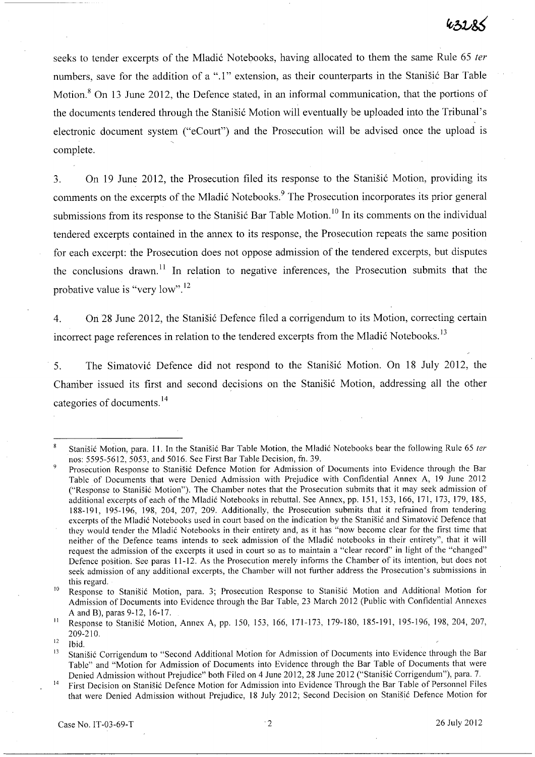seeks to tender excerpts of the Mladić Notebooks, having allocated to them the same Rule 65 ter numbers, save for the addition of a ".1" extension, as their counterparts in the Stanisic Bar Table Motion.<sup>8</sup> On 13 June 2012, the Defence stated, in an informal communication, that the portions of the documents tendered through the Stanisic Motion will eventually be uploaded into the Tribunal's electronic document system ("eCourt") and the Prosecution will be advised once the upload is complete.

3. On 19 June 2012, the Prosecution filed its response to the Stanisic Motion, providing its comments on the excerpts of the Mladić Notebooks.<sup>9</sup> The Prosecution incorporates its prior general submissions from its response to the Stanišić Bar Table Motion.<sup>10</sup> In its comments on the individual tendered excerpts contained in the annex to its response, the Prosecution repeats the same position for each excerpt: the Prosecution does not oppose admission of the tendered excerpts, but disputes the conclusions drawn.<sup>11</sup> In relation to negative inferences, the Prosecution submits that the probative value is "very IOW".12

4. On 28 June 2012, the Stanisic Defence filed a corrigendum to its Motion, correcting certain incorrect page references in relation to the tendered excerpts from the Mladić Notebooks.<sup>13</sup>

5. The Simatovic Defence did not respond to the Stanisic Motion. On 18 July 2012, the Charriber issued its first and second decisions on the Stanisic Motion, addressing all the other categories of documents. 14

 $\boldsymbol{8}$ Stanišić Motion, para. 11. In the Stanišić Bar Table Motion, the Mladić Notebooks bear the following Rule 65 ter nos: 5595-5612,5053, and 5016. See First Bar Table Decision, fn. 39.

Prosecution Response to Stanišić Defence Motion for Admission of Documents into Evidence through the Bar Table of Documents that were Denied Admission with Prejudice with Confidential Annex A, 19 June 2012 ("Response to Stanisic Motion"). The Chamber notes that the Prosecution submits that it may seek admission of additional excerpts of each of the Mladic Notebooks in rebuttal. See Annex, pp. 151, 153, 166, 171, 173, 179, 185, 188-191, 195-196, 198, 204, 207, 209. Additionally, the Prosecution submits that it refrained from tendering excerpts of the Mladić Notebooks used in court based on the indication by the Stanišić and Simatović Defence that they would tender the Mladic Notebooks in their entirety and, as it has "now become clear for the first time that neither of the Defence teams intends to seek admission of the Mladic notebooks in their entirety", that it will request the admission of the excerpts it used in court so as to maintain a "clear record" in light of the "changed" Defence position. See paras 11-12. As the Prosecution merely informs the Chamber of its intention, but does not seek admission of any additional excerpts, the Chamber will not further address the Prosecution's submissions in this regard.

<sup>&</sup>lt;sup>10</sup> Response to Stanišić Motion, para. 3; Prosecution Response to Stanišić Motion and Additional Motion for Admission of Documents into Evidence through the Bar Table, 23 March 2012 (Public with Confidential Annexes A and B), paras 9-12,16-17.

<sup>&</sup>lt;sup>11</sup> Response to Stanišić Motion, Annex A, pp. 150, 153, 166, 171-173, 179-180, 185-191, 195-196, 198, 204, 207, 209-210.

 $\frac{12}{13}$  Ibid.

Stanišić Corrigendum to "Second Additional Motion for Admission of Documents into Evidence through the Bar Table" and "Motion for Admission of Documents into Evidence through the Bar Table of Documents that were Denied Admission without Prejudice" both Filed on 4 June 2012, 28 June 2012 ("Stanisic Corrigendum"), para. 7.

<sup>&</sup>lt;sup>14</sup> First Decision on Stanišić Defence Motion for Admission into Evidence Through the Bar Table of Personnel Files that were Denied Admission without Prejudice, 18 July 2012; Second Decision on Stanišić Defence Motion for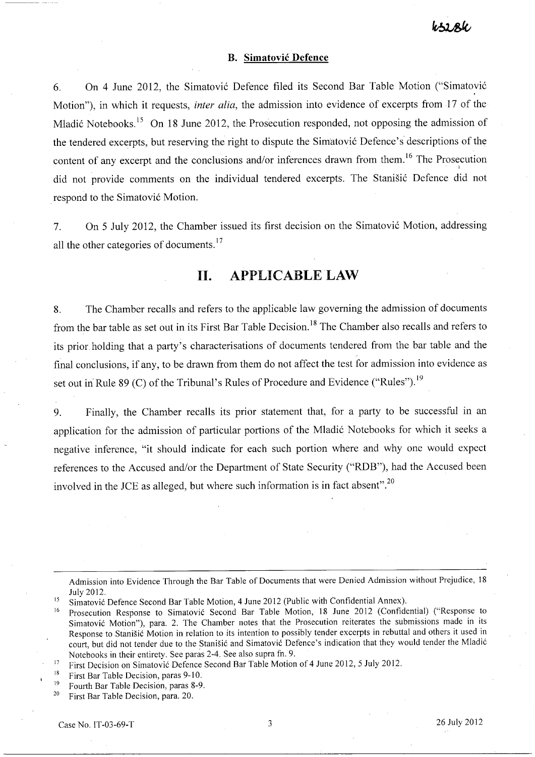#### **B. Simatovic Defence**

6. On 4 June 2012, the Simatović Defence filed its Second Bar Table Motion ("Simatović Motion"), in which it requests, *inter alia,* the admission into evidence of excerpts from 17 of the Mladić Notebooks.<sup>15</sup> On 18 June 2012, the Prosecution responded, not opposing the admission of the tendered excerpts, but reserving the right to dispute the Simatović Defence's descriptions of the content of any excerpt and the conclusions and/or inferences drawn from them.<sup>16</sup> The Prosecution did not provide comments on the individual tendered excerpts. The Stanišić Defence did not respond to the Simatović Motion.

7. On 5 July 2012, the Chamber issued its first decision on the Simatović Motion, addressing all the other categories of documents.<sup>17</sup>

## **11. APPLICABLELAW**

8. The Chamber recalls and refers to the applicable law governing the admission of documents from the bar table as set out in its First Bar Table Decision.<sup>18</sup> The Chamber also recalls and refers to its prior holding that a party's characterisations of documents tendered from the bar table and the final conclusions, if any, to be drawn from them do not affect the test for admission into evidence as set out in Rule 89 (C) of the Tribunal's Rules of Procedure and Evidence ("Rules").<sup>19</sup>

9. Finally, the Chamber recalls its prior statement that, for a party to be successful in an application for the admission of particular portions of the Mladić Notebooks for which it seeks a negative inference, "it should indicate for each such portion where and why one would expect references to the Accused and/or the Department of State Security ("RDB"), had the Accused been involved in the JCE as alleged, but where such information is in fact absent".<sup>20</sup>

Admission into Evidence Through the Bar Table of Documents that were Denied Admission without Prejudice, 18 July 2012.

- <sup>18</sup> First Bar Table Decision, paras  $9-10$ .
- <sup>19</sup> Fourth Bar Table Decision, paras 8-9.<br><sup>20</sup> First Bar Table Decision, para 20

20 First Bar Table Decision, para. 20.

<sup>&</sup>lt;sup>15</sup> Simatović Defence Second Bar Table Motion, 4 June 2012 (Public with Confidential Annex).

<sup>&</sup>lt;sup>16</sup> Prosecution Response to Simatović Second Bar Table Motion, 18 June 2012 (Confidential) ("Response to Simatovic Motion"), para. 2. The Chamber notes that the Prosecution reiterates the submissions made in its Response to Stanišić Motion in relation to its intention to possibly tender excerpts in rebuttal and others it used in court, but did not tender due to the Stanisic and Simatovic Defence's indication that they would tender the Mladic Notebooks in their entirety. See paras 2-4. See also supra fn. 9.

<sup>&</sup>lt;sup>17</sup> First Decision on Simatović Defence Second Bar Table Motion of 4 June 2012, 5 July 2012.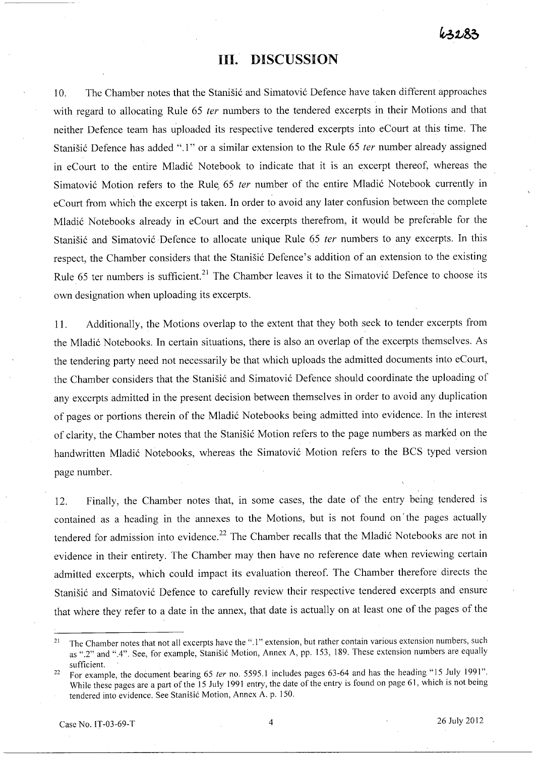# **Ill. DISCUSSION**

10. The Chamber notes that the Stanišić and Simatović Defence have taken different approaches with regard to allocating Rule 65 ter numbers to the tendered excerpts in their Motions and that neither Defence team has uploaded its respective tendered excerpts into eCourt at this time. The Stanišić Defence has added ".1" or a similar extension to the Rule 65 ter number already assigned in eCourt to the entire Mladić Notebook to indicate that it is an excerpt thereof, whereas the Simatović Motion refers to the Rule 65 ter number of the entire Mladić Notebook currently in eCourt from which the excerpt is taken. In order to avoid any later confusion between the complete Mladić Notebooks already in eCourt and the excerpts therefrom, it would be preferable for the Stanišić and Simatović Defence to allocate unique Rule 65 ter numbers to any excerpts. In this respect, the Chamber considers that the Stanišić Defence's addition of an extension to the existing Rule 65 ter numbers is sufficient.<sup>21</sup> The Chamber leaves it to the Simatović Defence to choose its own designation when uploading its excerpts.

11. Additionally, the Motions overlap to the extent that they both seek to tender excerpts from the Mladić Notebooks. In certain situations, there is also an overlap of the excerpts themselves. As the tendering party need not necessarily be that which uploads the admitted documents into eCourt, the Chamber considers that the Stanišić and Simatović Defence should coordinate the uploading of any excerpts admitted in the present decision between themselves in order to avoid any duplication of pages or portions therein of the Mladić Notebooks being admitted into evidence. In the interest of clarity, the Chamber notes that the Stanišić Motion refers to the page numbers as marked on the handwritten Mladić Notebooks, whereas the Simatović Motion refers to the BCS typed version page number.

12. Finally, the Chamber notes that, in some cases, the date of the entry being tendered is contained as a heading in the annexes to the Motions, but is not found on' the pages actually tendered for admission into evidence.<sup>22</sup> The Chamber recalls that the Mladić Notebooks are not in evidence in their entirety. The Chamber may then have no reference date when reviewing certain admitted excerpts, which could impact its evaluation thereof. The Chamber therefore directs the Stanišić and Simatović Defence to carefully review their respective tendered excerpts and ensure that where they refer to a date in the annex, that date is actually on at least one of the pages of the

<sup>&</sup>lt;sup>21</sup> The Chamber notes that not all excerpts have the ".1" extension, but rather contain various extension numbers, such as ".2" and ".4". See, for example, Stanišić Motion, Annex A, pp. 153, 189. These extension numbers are equally sufficient.

<sup>&</sup>lt;sup>22</sup> For example, the document bearing 65 ter no. 5595.1 includes pages 63-64 and has the heading "15 July 1991". While these pages are a part of the 15 July 1991 entry, the date of the entry is found on page 61, which is not being tendered into evidence. See Stanišić Motion, Annex A. p. 150.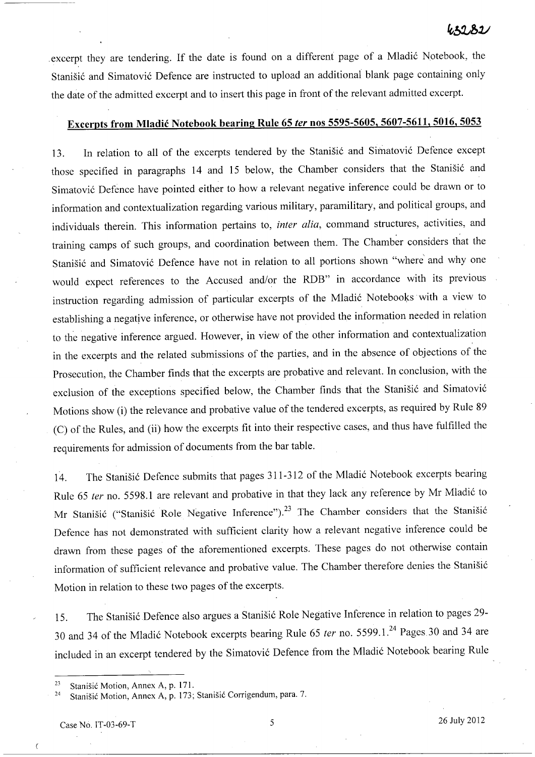excerpt they are tendering. If the date is found on a different page of a Mladić Notebook, the Stanišić and Simatović Defence are instructed to upload an additional blank page containing only the date of the admitted excerpt and to insert this page in front of the relevant admitted excerpt.

# **Excerpts from Mladic Notebook bearing Rule 65 ler nos 5595-5605, 5607-5611, 5016, 5053**

13. In relation to all of the excerpts tendered by the Stanišić and Simatović Defence except those specified in paragraphs 14 and 15 below, the Chamber considers that the Stanišić and Simatovi6 Defence have pointed either to how a relevant negative inference could be drawn or to information and contextualization regarding various military, paramilitary, and political groups, and individuals therein. This information pertains to, *inter alia,* command structures, activities, and training camps of such groups, and coordination between them. The Chamber considers that the Stanišić and Simatović Defence have not in relation to all portions shown "where and why one would expect references to the Accused and/or the RDB" in accordance with its previous instruction regarding admission of particular excerpts of the Mladić Notebooks with a view to establishing a negative inference, or otherwise have not provided the information needed in relation to the negative inference argued. However, in view of the other information and contextualization in the excerpts and the related submissions of the parties, and in the absence of objections of the Prosecution, the Chamber finds that the excerpts are probative and relevant. In conclusion, with the exclusion of the exceptions specified below, the Chamber finds that the Stanišić and Simatović Motions show (i) the relevance and probative value of the tendered excerpts, as required by Rule 89 (C) of the Rules, and (ii) how the excerpts fit into their respective cases, and thus have fulfilled the requirements for admission of documents from the bar table.

14. The Stanišić Defence submits that pages 311-312 of the Mladić Notebook excerpts bearing Rule 65 ter no. 5598.1 are relevant and probative in that they lack any reference by Mr Mladić to Mr Stanišić ("Stanišić Role Negative Inference").<sup>23</sup> The Chamber considers that the Stanišić Defence has not demonstrated with sufficient clarity how a relevant negative inference could be drawn from these pages of the aforementioned excerpts. These pages do not otherwise contain information of sufficient relevance and probative value. The Chamber therefore denies the Stanišić Motion in relation to these two pages of the excerpts.

15. The Stanišić Defence also argues a Stanišić Role Negative Inference in relation to pages 29-30 and 34 of the Mladić Notebook excerpts bearing Rule 65 *ter* no. 5599.1.<sup>24</sup> Pages 30 and 34 are included in an excerpt tendered by the Simatović Defence from the Mladić Notebook bearing Rule

 $\epsilon$ 

<sup>&</sup>lt;sup>23</sup> Stanišić Motion, Annex A, p. 171.

<sup>&</sup>lt;sup>24</sup> Stanišić Motion, Annex A, p. 173; Stanišić Corrigendum, para. 7.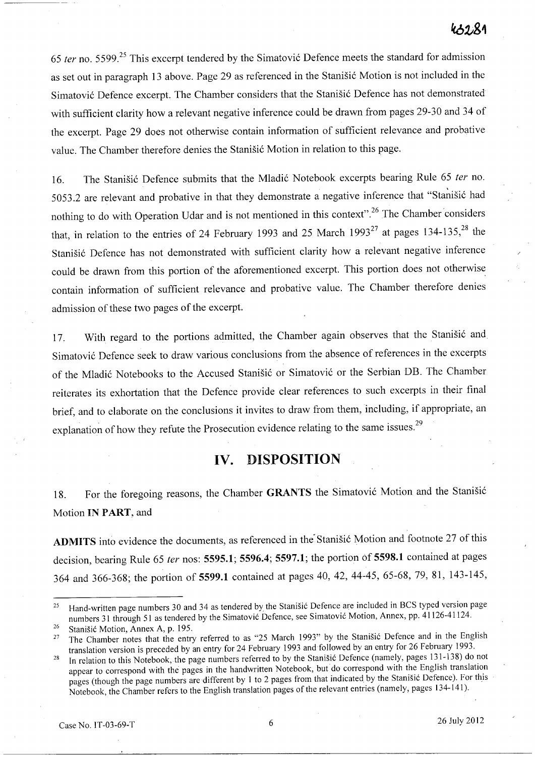*65* fer no. 5599.25 This excerpt tendered by the Simatovi6 Defence meets the standard for admission as set out in paragraph 13 above. Page 29 as referenced in the Stanišić Motion is not included in the Simatović Defence excerpt. The Chamber considers that the Stanišić Defence has not demonstrated with sufficient clarity how a relevant negative inference could be drawn from pages 29-30 and 34 of the excerpt. Page 29 does not otherwise contain information of sufficient relevance and probative value. The Chamber therefore denies the Stanišić Motion in relation to this page.

16. The Stanišić Defence submits that the Mladić Notebook excerpts bearing Rule 65 ter no. 5053.2 are relevant and probative in that they demonstrate a negative inference that "Stanišić had nothing to do with Operation Udar and is not mentioned in this context".<sup>26</sup> The Chamber considers that, in relation to the entries of 24 February 1993 and 25 March  $1993^{27}$  at pages 134-135,<sup>28</sup> the Stanišić Defence has not demonstrated with sufficient clarity how a relevant negative inference could be drawn from this portion of the aforementioned excerpt. This portion does not otherwise contain information of sufficient relevance and probative value. The Chamber therefore denies admission of these two pages of the excerpt.

17. With regard to the portions admitted, the Chamber again observes that the Stanisic and Simatovi6 Defence seek to draw various conclusions from the absence of references in the excerpts of the Mladić Notebooks to the Accused Stanišić or Simatović or the Serbian DB. The Chamber reiterates its exhortation that the Defence provide clear references to such excerpts in their final brief, and to elaborate on the conclusions it invites to draw from them, including, if appropriate, an explanation of how they refute the Prosecution evidence relating to the same issues.<sup>29</sup>

# **IV. DISPOSITION**

18. For the foregoing reasons, the Chamber GRANTS the Simatović Motion and the Stanišić Motion **IN PART,** and

ADMITS into evidence the documents, as referenced in the Stanisic Motion and footnote 27 of this decision, bearing Rule 65 fer nos: **5595.1; 5596.4; 5597.1;** the portion Of **5598.1** contained at pages 364 and 366-368; the portion of **5599.1** contained at pages 40,42,44-45, 65-68, 79, 81, 143-145,

<sup>&</sup>lt;sup>25</sup> Hand-written page numbers 30 and 34 as tendered by the Stanisic Defence are included in BCS typed version page numbers 31 through 51 as tendered by the Simatović Defence, see Simatović Motion, Annex, pp. 41126-41124.

<sup>&</sup>lt;sup>26</sup> Stanišić Motion, Annex A, p. 195.

<sup>27</sup> The Chamber notes that the entry referred to as "25 March 1993" by the Stanisic Defence and in the English translation version is preceded by an entry for 24 February 1993 and followed by an entry for 26 February 1993.

<sup>&</sup>lt;sup>28</sup> In relation to this Notebook, the page numbers referred to by the Stanisic Defence (namely, pages 131-138) do not appear to correspond with the pages in the handwritten Notebook, but do correspond with the English translation pages (though the page numbers are different by 1 to 2 pages from that indicated by the Stanisic Defence). For this Notebook, the Chamber refers to the English translation pages of the relevant entries (namely, pages 134-141).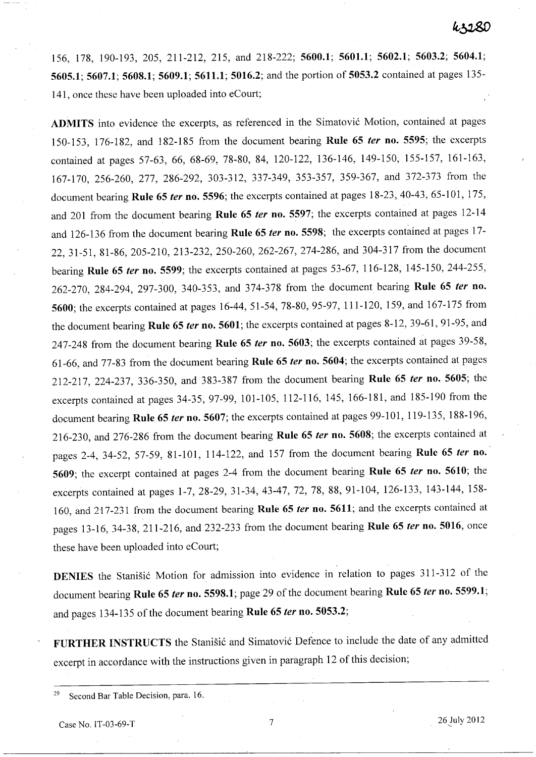156, 178, 190-193, 205, 211-212, 215, and 218-222; 5600.1; 5601.1; 5602.1; 5603.2; 5604.1; 5605.1; 5607.1; 5608.1; 5609.1; 5611.1; 5016.2; and the portion of 5053.2 contained at pages 135- 141, once these have been uploaded into eCourt;

ADMITS into evidence the excerpts, as referenced in the Simatović Motion, contained at pages 150-153, 176-182, and 182-185 from the document bearing Rule 65 *ter* no. 5595; the excerpts contained at pages 57-63, 66, 68-69, 78-80, 84, 120-122, 136-146, 149-150, 155-157, 161-163, 167-170, 256-260, 277, 286-292, 303-312, 337-349, 353-357, 359-367, and 372-373 from the document bearing Rule 65 *ter* no. 5596; the excerpts contained at pages 18-23, 40-43, 65-101, 175, and 201 from the document bearing Rule 65 *ter* no. 5597; the excerpts contained at pages 12-14 and 126-136 from the document bearing Rule 65 *ter* no. 5598; the excerpts contained at pages 17- 22,31-51,81-86,205-210,213-232,250-260, 262-267, 274-286, and 304-317 from the document bearing Rule 65 *ter* no. 5599; the excerpts contained at pages 53-67, 116-128, 145-150, 244-255, 262-270, 284-294, 297-300, 340-353, and 374-378 from the document bearing Rule 65 *ter* no. 5600; the excerpts contained at pages 16-44, 51-54, 78-80, 95-97, 111-120, 159, and 167-175 from the document bearing Rule 65 *ter* no. 5601; the excerpts contained at pages 8-12, 39-61, 91-95, and 247-248 from the document bearing Rule 65 *ter* no. 5603; the excerpts contained at pages 39-58, 61-66, and 77-83 from the document bearing Rule 65 *ter* no. 5604; the excerpts contained at pages 212-217, 224-237, 336-350, and 383-387 from the document bearing Rule 65 *ter* no. 5605; the excerpts contained at pages 34-35, 97-99,101-105, 112-116, 145, 166-181, and 185-190 from the document bearing Rule 65 *ter* no. 5607; the excerpts contained at pages 99-101, 119-135, 188-196, 216-230, and 276-286 from the document bearing Rule 65 *ter* no. 5608; the excerpts contained at pages 2-4, 34-52, 57-59, 81-101, 114-122, and 157 from the document bearing Rule 65 *ter* no.' 5609; the excerpt contained at pages 2-4 from the document bearing Rule 65 *ter* no. 5610; the excerpts contained at pages 1-7,28-29,31-34,43-47,72,78,88,91-104, 126-133, 143-144, 158- 160, and 217-231 from the document bearing Rule 65 *ter* no. 5611; and the excerpts contained at pages 13-16,34-38,211-216, and 232-233 from the document bearing Rule 65 *ter* no. 5016, once these have been uploaded into eCourt;

DENIES the Stanišić Motion for admission into evidence in relation to pages 311-312 of the document bearing Rule 65 *ter* no. 5598.1; page29 of the document bearing Rule 65 *ter* no. 5599.1; and pages 134-135 of the document bearing Rule 65 *ter* no. 5053.2;

FURTHER INSTRUCTS the Stanisic and Simatovic Defence to include the date of any admitted excerpt in accordance with the instructions given in paragraph 12 of this decision;

<sup>29</sup> Second Bar Table Decision, para. 16.